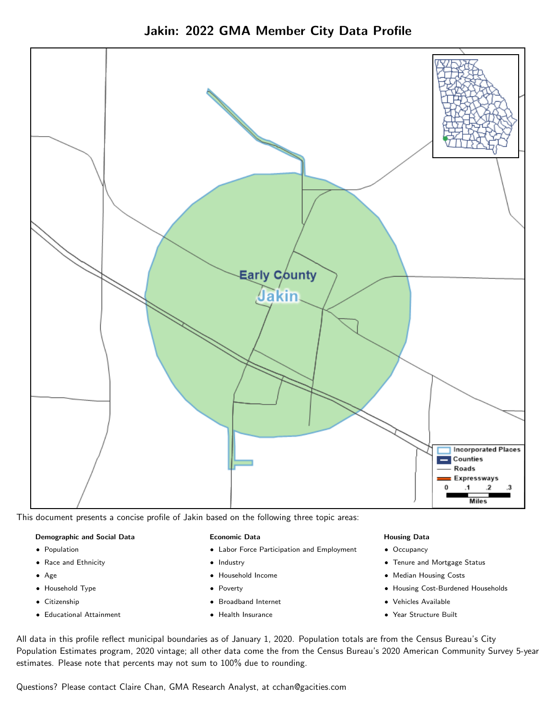Jakin: 2022 GMA Member City Data Profile



This document presents a concise profile of Jakin based on the following three topic areas:

#### Demographic and Social Data

- **•** Population
- Race and Ethnicity
- Age
- Household Type
- **Citizenship**
- Educational Attainment

#### Economic Data

- Labor Force Participation and Employment
- Industry
- Household Income
- Poverty
- Broadband Internet
- Health Insurance

#### Housing Data

- Occupancy
- Tenure and Mortgage Status
- Median Housing Costs
- Housing Cost-Burdened Households
- Vehicles Available
- Year Structure Built

All data in this profile reflect municipal boundaries as of January 1, 2020. Population totals are from the Census Bureau's City Population Estimates program, 2020 vintage; all other data come the from the Census Bureau's 2020 American Community Survey 5-year estimates. Please note that percents may not sum to 100% due to rounding.

Questions? Please contact Claire Chan, GMA Research Analyst, at [cchan@gacities.com.](mailto:cchan@gacities.com)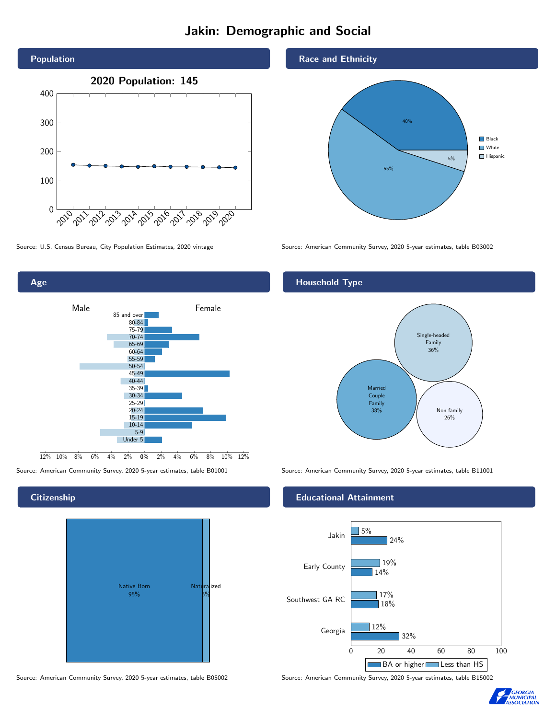# Jakin: Demographic and Social





**Citizenship** 



Source: American Community Survey, 2020 5-year estimates, table B05002 Source: American Community Survey, 2020 5-year estimates, table B15002

Race and Ethnicity



Source: U.S. Census Bureau, City Population Estimates, 2020 vintage Source: American Community Survey, 2020 5-year estimates, table B03002

### Household Type



Source: American Community Survey, 2020 5-year estimates, table B01001 Source: American Community Survey, 2020 5-year estimates, table B11001

#### Educational Attainment



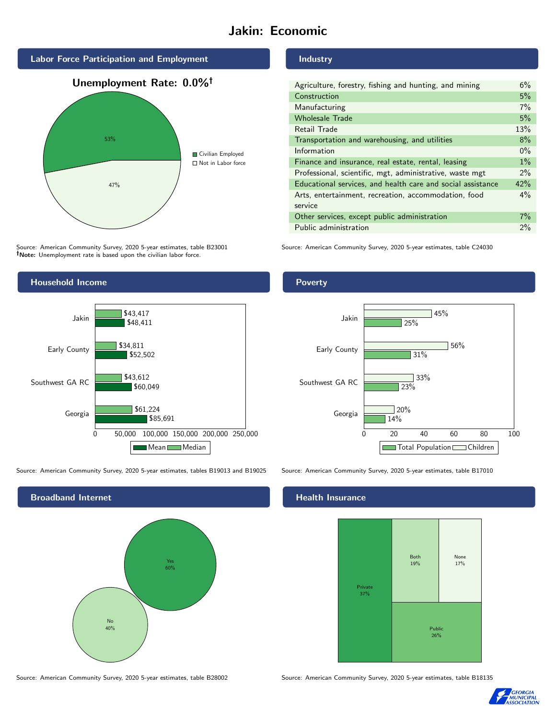# Jakin: Economic



Source: American Community Survey, 2020 5-year estimates, table B23001 Note: Unemployment rate is based upon the civilian labor force.



Source: American Community Survey, 2020 5-year estimates, tables B19013 and B19025 Source: American Community Survey, 2020 5-year estimates, table B17010

Broadband Internet No 40% Yes 60%

Industry

| Agriculture, forestry, fishing and hunting, and mining      | 6%    |
|-------------------------------------------------------------|-------|
| Construction                                                | 5%    |
| Manufacturing                                               | 7%    |
| <b>Wholesale Trade</b>                                      | 5%    |
| Retail Trade                                                | 13%   |
| Transportation and warehousing, and utilities               | 8%    |
| Information                                                 | $0\%$ |
| Finance and insurance, real estate, rental, leasing         | $1\%$ |
| Professional, scientific, mgt, administrative, waste mgt    | $2\%$ |
| Educational services, and health care and social assistance | 42%   |
| Arts, entertainment, recreation, accommodation, food        | $4\%$ |
| service                                                     |       |
| Other services, except public administration                | $7\%$ |
| Public administration                                       | $2\%$ |

Source: American Community Survey, 2020 5-year estimates, table C24030

Poverty



## **Health Insurance**



Source: American Community Survey, 2020 5-year estimates, table B28002 Source: American Community Survey, 2020 5-year estimates, table B18135